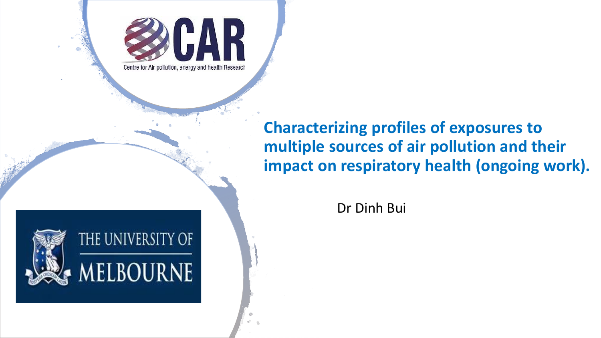

**Characterizing profiles of exposures to multiple sources of air pollution and their impact on respiratory health (ongoing work).**

Dr Dinh Bui

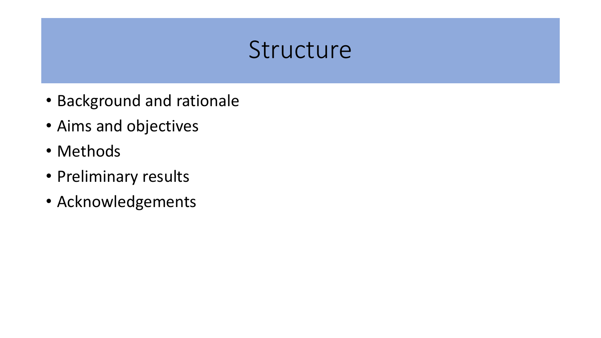# Structure

- Background and rationale
- Aims and objectives
- Methods
- Preliminary results
- Acknowledgements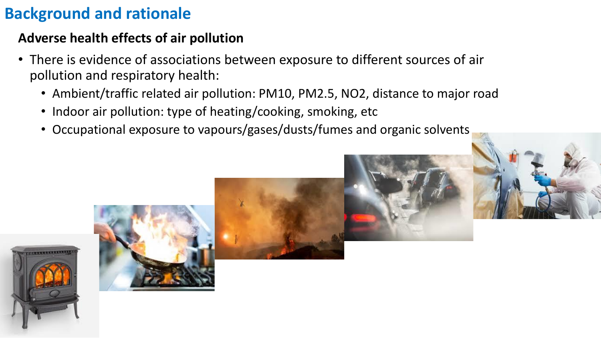## **Background and rationale**

#### **Adverse health effects of air pollution**

- There is evidence of associations between exposure to different sources of air pollution and respiratory health:
	- Ambient/traffic related air pollution: PM10, PM2.5, NO2, distance to major road
	- Indoor air pollution: type of heating/cooking, smoking, etc
	- Occupational exposure to vapours/gases/dusts/fumes and organic solvents

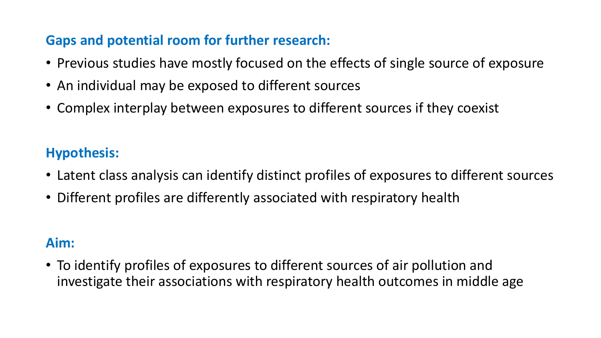#### **Gaps and potential room for further research:**

- Previous studies have mostly focused on the effects of single source of exposure
- An individual may be exposed to different sources
- Complex interplay between exposures to different sources if they coexist

#### **Hypothesis:**

- Latent class analysis can identify distinct profiles of exposures to different sources
- Different profiles are differently associated with respiratory health

#### **Aim:**

• To identify profiles of exposures to different sources of air pollution and investigate their associations with respiratory health outcomes in middle age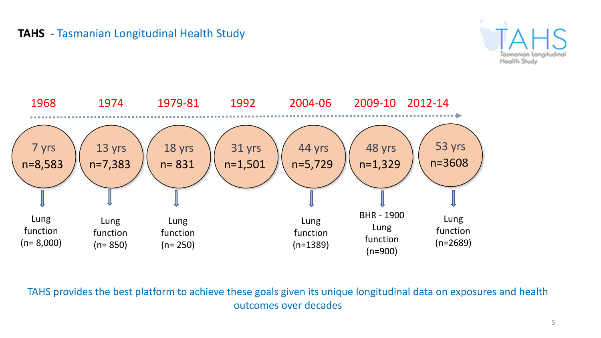





TAHS provides the best platform to achieve these goals given its unique longitudinal data on exposures and health outcomes over decades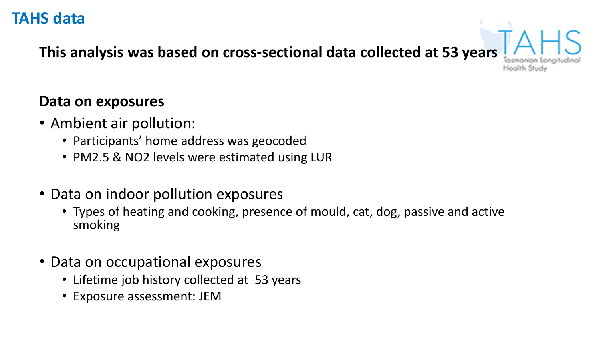#### **TAHS data**

**This analysis was based on cross-sectional data collected at 53 years**

tealth Study

#### **Data on exposures**

- Ambient air pollution:
	- Participants' home address was geocoded
	- PM2.5 & NO2 levels were estimated using LUR
- Data on indoor pollution exposures
	- Types of heating and cooking, presence of mould, cat, dog, passive and active smoking
- Data on occupational exposures
	- Lifetime job history collected at 53 years
	- Exposure assessment: JEM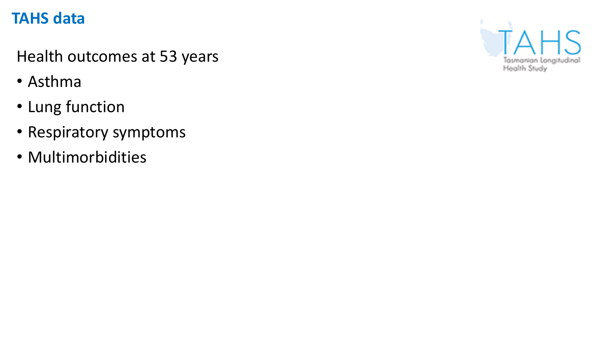## **TAHS data**

Health outcomes at 53 years

- Asthma
- Lung function
- Respiratory symptoms
- Multimorbidities

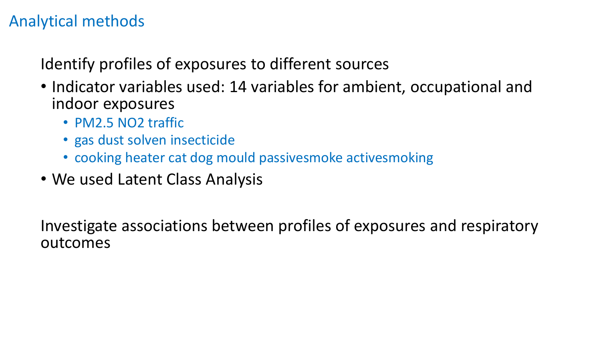### Analytical methods

Identify profiles of exposures to different sources

- Indicator variables used: 14 variables for ambient, occupational and indoor exposures
	- PM2.5 NO2 traffic
	- gas dust solven insecticide
	- cooking heater cat dog mould passivesmoke activesmoking
- We used Latent Class Analysis

Investigate associations between profiles of exposures and respiratory outcomes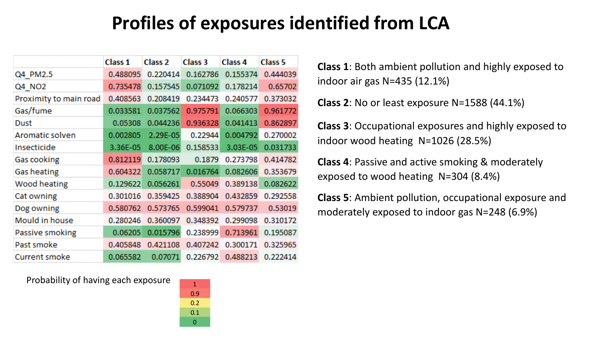## **Profiles of exposures identified from LCA**

|                        | Class <sub>1</sub> | Class <sub>2</sub> | Class <sub>3</sub> | Class <sub>4</sub> | <b>Class 5</b> |
|------------------------|--------------------|--------------------|--------------------|--------------------|----------------|
| Q4 PM2.5               | 0.488095           | 0.220414           | 0.162786           | 0.155374           | 0.444039       |
| Q4 NO2                 | 0.735478           | 0.157545           | 0.071092           | 0.178214           | 0.65702        |
| Proximity to main road | 0.408563           | 0.208419           | 0.234473           | 0.240577           | 0.373032       |
| Gas/fume               | 0.033581           | 0.037562           | 0.975791           | 0.066303           | 0.961772       |
| Dust                   | 0.05308            | 0.044236           | 0.936328           | 0.041413           | 0.862897       |
| Aromatic solven        | 0.002805           | 2.29E-05           | 0.22944            | 0.004792           | 0.270002       |
| Insecticide            | 3.36E-05           | 8.00E-06           | 0.158533           | 3.03E-05           | 0.031733       |
| Gas cooking            | 0.812119           | 0.178093           | 0.1879             | 0.273798           | 0.414782       |
| <b>Gas heating</b>     | 0.604322           | 0.058717           | 0.016764           | 0.082606           | 0.353679       |
| Wood heating           | 0.129622           | 0.056261           | 0.55049            | 0.389138           | 0.082622       |
| Cat owning             | 0.301016           | 0.359425           | 0.388904           | 0.432859           | 0.292558       |
| Dog owning             | 0.580762           | 0.573765           | 0.599041           | 0.579737           | 0.53019        |
| Mould in house         | 0.280246           | 0.360097           | 0.348392           | 0.299098           | 0.310172       |
| Passive smoking        | 0.06205            | 0.015796           | 0.238999           | 0.713961           | 0.195087       |
| Past smoke             | 0.405848           | 0.421108           | 0.407242           | 0.300171           | 0.325965       |
| Current smoke          | 0.065582           | 0.07071            | 0.226792           | 0.488213           | 0.222414       |

1 0.9 0.2 0.1 0

Probability of having each exposure

**Class 1**: Both ambient pollution and highly exposed to indoor air gas N=435 (12.1%)

**Class 2**: No or least exposure N=1588 (44.1%)

**Class 3**: Occupational exposures and highly exposed to indoor wood heating N=1026 (28.5%)

**Class 4**: Passive and active smoking & moderately exposed to wood heating N=304 (8.4%)

**Class 5**: Ambient pollution, occupational exposure and moderately exposed to indoor gas N=248 (6.9%)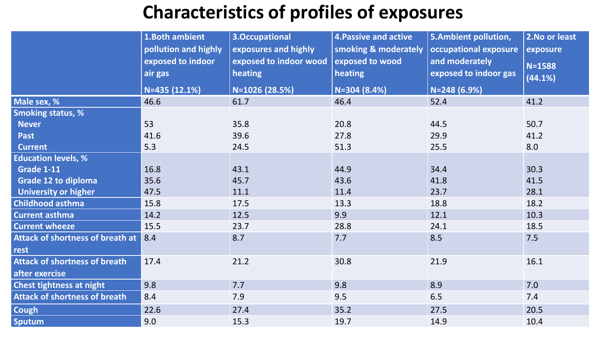# **Characteristics of profiles of exposures**

|                                      | 1.Both ambient<br>pollution and highly | 3.Occupational<br>exposures and highly | <b>4. Passive and active</b><br>smoking & moderately | 5.Ambient pollution,<br>occupational exposure | 2. No or least<br>exposure |
|--------------------------------------|----------------------------------------|----------------------------------------|------------------------------------------------------|-----------------------------------------------|----------------------------|
|                                      | exposed to indoor<br>air gas           | exposed to indoor wood<br>heating      | exposed to wood<br>heating                           | and moderately<br>exposed to indoor gas       | $N = 1588$<br>(44.1%)      |
|                                      | N=435 (12.1%)                          | N=1026 (28.5%)                         | $N = 304 (8.4%)$                                     | N=248 (6.9%)                                  |                            |
| Male sex, %                          | 46.6                                   | 61.7                                   | 46.4                                                 | 52.4                                          | 41.2                       |
| <b>Smoking status, %</b>             |                                        |                                        |                                                      |                                               |                            |
| <b>Never</b>                         | 53                                     | 35.8                                   | 20.8                                                 | 44.5                                          | 50.7                       |
| <b>Past</b>                          | 41.6                                   | 39.6                                   | 27.8                                                 | 29.9                                          | 41.2                       |
| <b>Current</b>                       | 5.3                                    | 24.5                                   | 51.3                                                 | 25.5                                          | 8.0                        |
| <b>Education levels, %</b>           |                                        |                                        |                                                      |                                               |                            |
| <b>Grade 1-11</b>                    | 16.8                                   | 43.1                                   | 44.9                                                 | 34.4                                          | 30.3                       |
| Grade 12 to diploma                  | 35.6                                   | 45.7                                   | 43.6                                                 | 41.8                                          | 41.5                       |
| <b>University or higher</b>          | 47.5                                   | 11.1                                   | 11.4                                                 | 23.7                                          | 28.1                       |
| <b>Childhood asthma</b>              | 15.8                                   | 17.5                                   | 13.3                                                 | 18.8                                          | 18.2                       |
| <b>Current asthma</b>                | 14.2                                   | 12.5                                   | 9.9                                                  | 12.1                                          | 10.3                       |
| <b>Current wheeze</b>                | 15.5                                   | 23.7                                   | 28.8                                                 | 24.1                                          | 18.5                       |
| Attack of shortness of breath at 8.4 |                                        | 8.7                                    | 7.7                                                  | 8.5                                           | 7.5                        |
| rest                                 |                                        |                                        |                                                      |                                               |                            |
| <b>Attack of shortness of breath</b> | 17.4                                   | 21.2                                   | 30.8                                                 | 21.9                                          | 16.1                       |
| after exercise                       |                                        |                                        |                                                      |                                               |                            |
| Chest tightness at night             | 9.8                                    | 7.7                                    | 9.8                                                  | 8.9                                           | 7.0                        |
| <b>Attack of shortness of breath</b> | 8.4                                    | 7.9                                    | 9.5                                                  | 6.5                                           | 7.4                        |
| Cough                                | 22.6                                   | 27.4                                   | 35.2                                                 | 27.5                                          | 20.5                       |
| <b>Sputum</b>                        | 9.0                                    | 15.3                                   | 19.7                                                 | 14.9                                          | 10.4                       |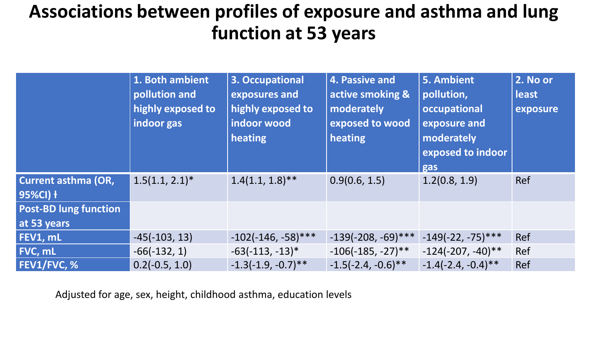## **Associations between profiles of exposure and asthma and lung function at 53 years**

|                                        | 1. Both ambient<br>pollution and<br>highly exposed to<br>indoor gas | 3. Occupational<br>exposures and<br>highly exposed to<br>indoor wood<br>heating | 4. Passive and<br>active smoking &<br>moderately<br>exposed to wood<br>heating | 5. Ambient<br>pollution,<br>occupational<br>exposure and<br>moderately<br>exposed to indoor<br>gas | 2. No or<br><b>least</b><br>exposure |
|----------------------------------------|---------------------------------------------------------------------|---------------------------------------------------------------------------------|--------------------------------------------------------------------------------|----------------------------------------------------------------------------------------------------|--------------------------------------|
| <b>Current asthma (OR,</b><br>95%CI) + | $1.5(1.1, 2.1)^*$                                                   | $1.4(1.1, 1.8)$ **                                                              | 0.9(0.6, 1.5)                                                                  | 1.2(0.8, 1.9)                                                                                      | <b>Ref</b>                           |
| <b>Post-BD lung function</b>           |                                                                     |                                                                                 |                                                                                |                                                                                                    |                                      |
| at 53 years                            |                                                                     |                                                                                 |                                                                                |                                                                                                    |                                      |
| FEV1, mL                               | $-45(-103, 13)$                                                     | $-102(-146, -58)$ ***                                                           | $-139(-208, -69)$ ***                                                          | $-149(-22, -75)$ ***                                                                               | Ref                                  |
| FVC, mL                                | $-66(-132, 1)$                                                      | $-63(-113, -13)*$                                                               | $-106(-185, -27)$ **                                                           | $-124(-207, -40)$ **                                                                               | Ref                                  |
| <b>FEV1/FVC, %</b>                     | $0.2(-0.5, 1.0)$                                                    | $-1.3(-1.9, -0.7)$ **                                                           | $-1.5(-2.4, -0.6)$ **                                                          | $-1.4(-2.4, -0.4)$ **                                                                              | Ref                                  |

Adjusted for age, sex, height, childhood asthma, education levels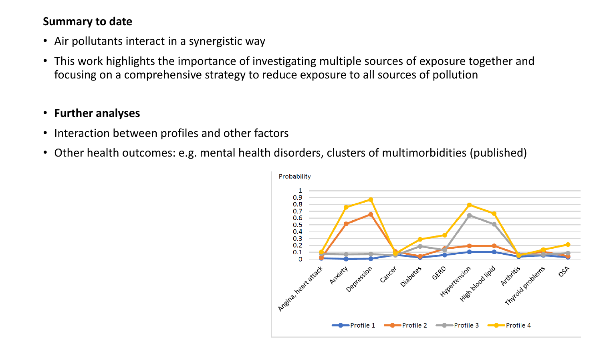#### **Summary to date**

- Air pollutants interact in a synergistic way
- This work highlights the importance of investigating multiple sources of exposure together and focusing on a comprehensive strategy to reduce exposure to all sources of pollution

#### • **Further analyses**

- Interaction between profiles and other factors
- Other health outcomes: e.g. mental health disorders, clusters of multimorbidities (published)